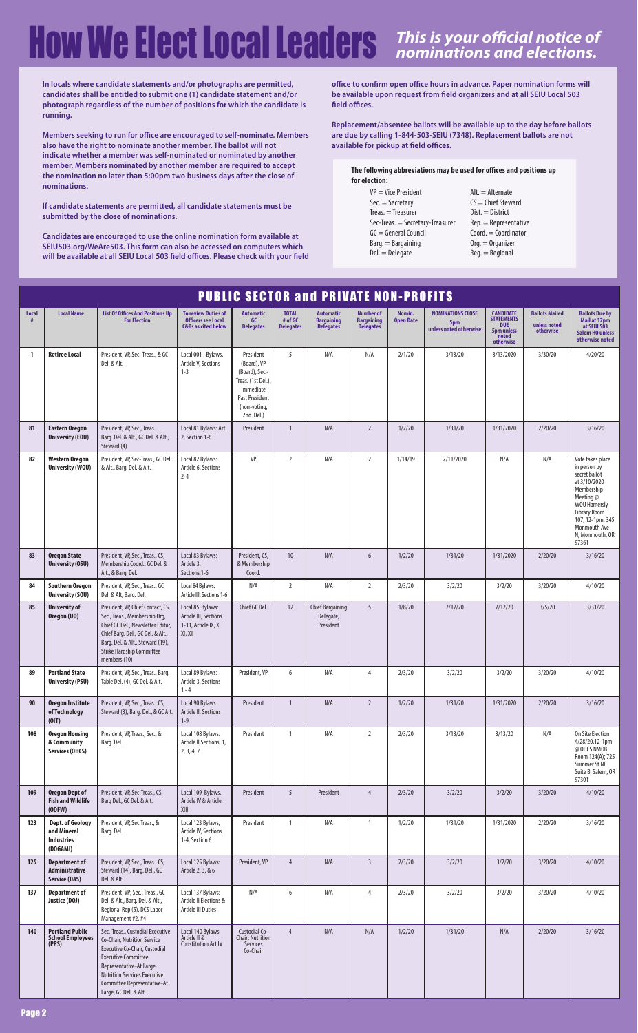|              | <b>PUBLIC SECTOR and PRIVATE NON-PROFITS</b>                            |                                                                                                                                                                                                                                                           |                                                                                           |                                                                                                                                      |                                             |                                                           |                                                           |                            |                                                           |                                                                                                |                                                    |                                                                                                                                                                                                       |  |
|--------------|-------------------------------------------------------------------------|-----------------------------------------------------------------------------------------------------------------------------------------------------------------------------------------------------------------------------------------------------------|-------------------------------------------------------------------------------------------|--------------------------------------------------------------------------------------------------------------------------------------|---------------------------------------------|-----------------------------------------------------------|-----------------------------------------------------------|----------------------------|-----------------------------------------------------------|------------------------------------------------------------------------------------------------|----------------------------------------------------|-------------------------------------------------------------------------------------------------------------------------------------------------------------------------------------------------------|--|
| <b>Local</b> | <b>Local Name</b>                                                       | <b>List Of Offices And Positions Up</b><br><b>For Election</b>                                                                                                                                                                                            | <b>To review Duties of</b><br><b>Officers see Local</b><br><b>C&amp;Bs as cited below</b> | <b>Automatic</b><br>GC<br><b>Delegates</b>                                                                                           | <b>TOTAL</b><br># of GC<br><b>Delegates</b> | <b>Automatic</b><br><b>Bargaining</b><br><b>Delegates</b> | <b>Number of</b><br><b>Bargaining</b><br><b>Delegates</b> | Nomin.<br><b>Open Date</b> | <b>NOMINATIONS CLOSE</b><br>5pm<br>unless noted otherwise | <b>CANDIDATE</b><br><b>STATEMENTS</b><br><b>DUE</b><br><b>5pm unless</b><br>noted<br>otherwise | <b>Ballots Mailed</b><br>unless noted<br>otherwise | <b>Ballots Due by</b><br>Mail at 12pm<br>at SEIU 503<br><b>Salem HQ unless</b><br>otherwise noted                                                                                                     |  |
| $\mathbf{1}$ | <b>Retiree Local</b>                                                    | President, VP, Sec.-Treas., & GC<br>Del. & Alt.                                                                                                                                                                                                           | Local 001 - Bylaws,<br>Article V, Sections<br>$1 - 3$                                     | President<br>(Board), VP<br>(Board), Sec.-<br>Treas. (1st Del.),<br>Immediate<br><b>Past President</b><br>(non-voting,<br>2nd. Del.) | 5                                           | N/A                                                       | N/A                                                       | 2/1/20                     | 3/13/20                                                   | 3/13/2020                                                                                      | 3/30/20                                            | 4/20/20                                                                                                                                                                                               |  |
| 81           | <b>Eastern Oregon</b><br><b>University (EOU)</b>                        | President, VP, Sec., Treas.,<br>Barg. Del. & Alt., GC Del. & Alt.,<br>Steward (4)                                                                                                                                                                         | Local 81 Bylaws: Art.<br>2, Section 1-6                                                   | President                                                                                                                            | $\overline{1}$                              | N/A                                                       | $\overline{2}$                                            | 1/2/20                     | 1/31/20                                                   | 1/31/2020                                                                                      | 2/20/20                                            | 3/16/20                                                                                                                                                                                               |  |
| 82           | <b>Western Oregon</b><br><b>University (WOU)</b>                        | President, VP, Sec-Treas., GC Del.<br>& Alt., Barg. Del. & Alt.                                                                                                                                                                                           | Local 82 Bylaws:<br>Article 6, Sections<br>$2 - 4$                                        | VP                                                                                                                                   | $\overline{2}$                              | N/A                                                       | $\overline{2}$                                            | 1/14/19                    | 2/11/2020                                                 | N/A                                                                                            | N/A                                                | Vote takes place<br>in person by<br>secret ballot<br>at 3/10/2020<br>Membership<br>Meeting $@$<br><b>WOU Hamersly</b><br>Library Room<br>107, 12-1pm; 345<br>Monmouth Ave<br>N, Monmouth, OR<br>97361 |  |
| 83           | <b>Oregon State</b><br><b>University (OSU)</b>                          | President, VP, Sec., Treas., CS,<br>Membership Coord., GC Del. &<br>Alt., & Barg. Del.                                                                                                                                                                    | Local 83 Bylaws:<br>Article 3,<br>Sections, 1-6                                           | President, CS,<br>& Membership<br>Coord.                                                                                             | 10 <sup>°</sup>                             | N/A                                                       | 6                                                         | 1/2/20                     | 1/31/20                                                   | 1/31/2020                                                                                      | 2/20/20                                            | 3/16/20                                                                                                                                                                                               |  |
| 84           | <b>Southern Oregon</b><br><b>University (SOU)</b>                       | President, VP, Sec., Treas., GC<br>Del. & Alt, Barg. Del.                                                                                                                                                                                                 | Local 84 Bylaws:<br>Article III, Sections 1-6                                             | N/A                                                                                                                                  | $\overline{2}$                              | N/A                                                       | $\overline{2}$                                            | 2/3/20                     | 3/2/20                                                    | 3/2/20                                                                                         | 3/20/20                                            | 4/10/20                                                                                                                                                                                               |  |
| 85           | <b>University of</b><br>Oregon (UO)                                     | President, VP, Chief Contact, CS,<br>Sec., Treas., Membership Org,<br>Chief GC Del., Newsletter Editor,<br>Chief Barg. Del., GC Del. & Alt.,<br>Barg. Del. & Alt., Steward (19),<br><b>Strike Hardship Committee</b><br>members (10)                      | Local 85 Bylaws:<br>Article III, Sections<br>1-11, Article IX, X,<br>XI, XII              | Chief GC Del.                                                                                                                        | 12                                          | <b>Chief Bargaining</b><br>Delegate,<br>President         | 5                                                         | 1/8/20                     | 2/12/20                                                   | 2/12/20                                                                                        | 3/5/20                                             | 3/31/20                                                                                                                                                                                               |  |
| 89           | <b>Portland State</b><br><b>University (PSU)</b>                        | President, VP, Sec., Treas., Barg.<br>Table Del. (4), GC Del. & Alt.                                                                                                                                                                                      | Local 89 Bylaws:<br>Article 3, Sections<br>$1 - 4$                                        | President, VP                                                                                                                        | 6                                           | N/A                                                       | 4                                                         | 2/3/20                     | 3/2/20                                                    | 3/2/20                                                                                         | 3/20/20                                            | 4/10/20                                                                                                                                                                                               |  |
| 90           | <b>Oregon Institute</b><br>of Technology<br>(0 T)                       | President, VP, Sec., Treas., CS,<br>Steward (3), Barg. Del., & GC Alt.                                                                                                                                                                                    | Local 90 Bylaws:<br>Article II, Sections<br>$1 - 9$                                       | President                                                                                                                            | $\overline{1}$                              | $\mathsf{N}/\mathsf{A}$                                   | $\overline{2}$                                            | 1/2/20                     | 1/31/20                                                   | 1/31/2020                                                                                      | 2/20/20                                            | 3/16/20                                                                                                                                                                                               |  |
| 108          | <b>Oregon Housing</b><br>& Community<br><b>Services (OHCS)</b>          | President, VP, Treas., Sec., &<br>Barg. Del.                                                                                                                                                                                                              | Local 108 Bylaws:<br>Article II, Sections, 1,<br>2, 3, 4, 7                               | President                                                                                                                            | $\mathbf{1}$                                | N/A                                                       | $\overline{2}$                                            | 2/3/20                     | 3/13/20                                                   | 3/13/20                                                                                        | N/A                                                | On Site Election<br>4/28/20,12-1pm<br>@ OHCS NMOB<br>Room 124(A); 725<br>Summer St NE<br>Suite B, Salem, OR<br>97301                                                                                  |  |
| 109          | <b>Oregon Dept of</b><br><b>Fish and Wildlife</b><br>(ODFW)             | President, VP, Sec-Treas., CS,<br>Barg Del., GC Del. & Alt.                                                                                                                                                                                               | Local 109 Bylaws,<br>Article IV & Article<br>XIII                                         | President                                                                                                                            | 5                                           | President                                                 | $\overline{4}$                                            | 2/3/20                     | 3/2/20                                                    | 3/2/20                                                                                         | 3/20/20                                            | 4/10/20                                                                                                                                                                                               |  |
| 123          | <b>Dept. of Geology</b><br>and Mineral<br><b>Industries</b><br>(DOGAMI) | President, VP, Sec. Treas., &<br>Barg. Del.                                                                                                                                                                                                               | Local 123 Bylaws,<br>Article IV, Sections<br>1-4, Section 6                               | President                                                                                                                            | $\mathbf{1}$                                | N/A                                                       | $\mathbf{1}$                                              | 1/2/20                     | 1/31/20                                                   | 1/31/2020                                                                                      | 2/20/20                                            | 3/16/20                                                                                                                                                                                               |  |
| 125          | <b>Department of</b><br><b>Administrative</b><br><b>Service (DAS)</b>   | President, VP, Sec., Treas., CS,<br>Steward (14), Barg. Del., GC<br>Del. & Alt.                                                                                                                                                                           | Local 125 Bylaws:<br>Article 2, 3, & 6                                                    | President, VP                                                                                                                        | $\overline{4}$                              | N/A                                                       | $\overline{3}$                                            | 2/3/20                     | 3/2/20                                                    | 3/2/20                                                                                         | 3/20/20                                            | 4/10/20                                                                                                                                                                                               |  |
| 137          | <b>Department of</b><br>Justice (DOJ)                                   | President; VP; Sec., Treas., GC<br>Del. & Alt., Barg. Del. & Alt.,<br>Regional Rep (5), DCS Labor<br>Management #2, #4                                                                                                                                    | Local 137 Bylaws:<br>Article II Elections &<br>Article III Duties                         | N/A                                                                                                                                  | 6                                           | N/A                                                       | $\overline{4}$                                            | 2/3/20                     | 3/2/20                                                    | 3/2/20                                                                                         | 3/20/20                                            | 4/10/20                                                                                                                                                                                               |  |
| 140          | <b>Portland Public</b><br><b>School Employees</b><br>(PPS)              | Sec.-Treas., Custodial Executive<br>Co-Chair, Nutrition Service<br>Executive Co-Chair, Custodial<br><b>Executive Committee</b><br>Representative-At Large,<br><b>Nutrition Services Executive</b><br>Committee Representative-At<br>Large, GC Del. & Alt. | Local 140 Bylaws<br>Article II &<br><b>Constitution Art IV</b>                            | Custodial Co-<br>Chair; Nutrition<br>Services<br>Co-Chair                                                                            | $\overline{4}$                              | N/A                                                       | N/A                                                       | 1/2/20                     | 1/31/20                                                   | N/A                                                                                            | 2/20/20                                            | 3/16/20                                                                                                                                                                                               |  |

## **HOW We Elect LOCAl Leader's** *This is your official notice of*

**In locals where candidate statements and/or photographs are permitted, candidates shall be entitled to submit one (1) candidate statement and/or photograph regardless of the number of positions for which the candidate is running.** 

**Members seeking to run for office are encouraged to self-nominate. Members also have the right to nominate another member. The ballot will not indicate whether a member was self-nominated or nominated by another member. Members nominated by another member are required to accept the nomination no later than 5:00pm two business days after the close of nominations.** 

**If candidate statements are permitted, all candidate statements must be submitted by the close of nominations.** 

**Candidates are encouraged to use the online nomination form available at SEIU503.org/WeAre503. This form can also be accessed on computers which will be available at all SEIU Local 503 field offices. Please check with your field**  **office to confirm open office hours in advance. Paper nomination forms will be available upon request from field organizers and at all SEIU Local 503 field offices.** 

**Replacement/absentee ballots will be available up to the day before ballots are due by calling 1-844-503-SEIU (7348). Replacement ballots are not available for pickup at field offices.** 

#### **The following abbreviations may be used for offices and positions up for election:**

- VP = Vice President Sec. = Secretary Treas. = Treasurer Sec-Treas. = Secretary-Treasurer GC = General Council Barg. = Bargaining Del. = Delegate
- Alt. = Alternate CS = Chief Steward Dist. = District Rep. = Representative Coord. = Coordinator Org. = Organizer Reg. = Regional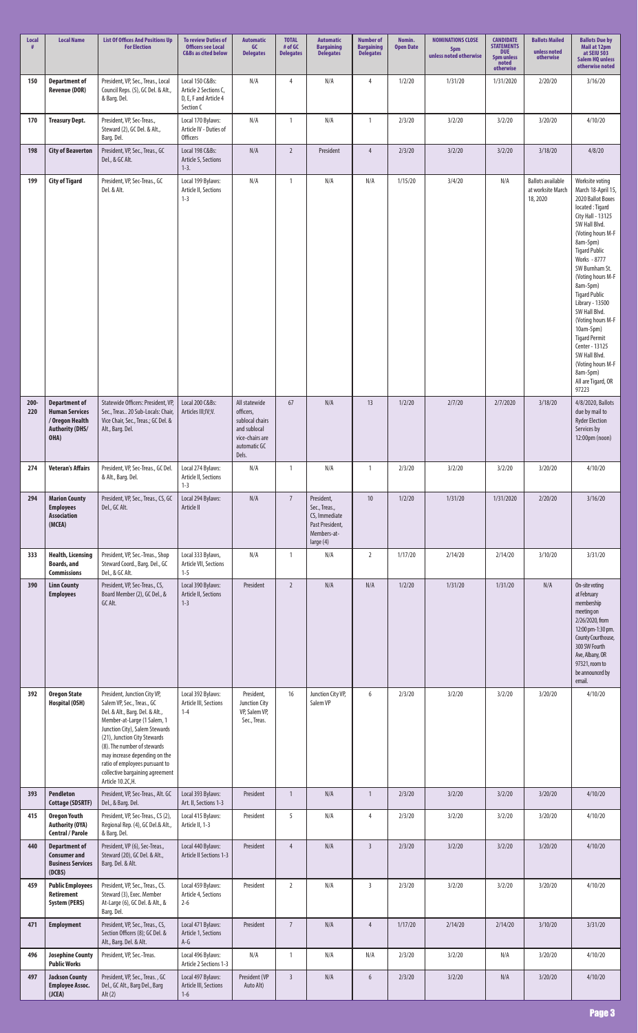| Local<br>#     | <b>Local Name</b>                                                                                  | <b>List Of Offices And Positions Up</b><br><b>For Election</b>                                                                                                                                                                                                                                                                                          | <b>To review Duties of</b><br><b>Officers see Local</b><br><b>C&amp;Bs as cited below</b> | <b>Automatic</b><br>GC<br><b>Delegates</b>                                                                | <b>TOTAL</b><br># of GC<br><b>Delegates</b> | <b>Automatic</b><br><b>Bargaining</b><br><b>Delegates</b>                                   | <b>Number of</b><br><b>Bargaining</b><br><b>Delegates</b> | Nomin.<br><b>Open Date</b> | <b>NOMINATIONS CLOSE</b><br>5pm<br>unless noted otherwise | <b>CANDIDATE</b><br><b>STATEMENTS</b><br><b>DUE</b><br><b>5pm unless</b><br>noted<br>otherwise | <b>Ballots Mailed</b><br>unless noted<br>otherwise       | <b>Ballots Due by</b><br>Mail at 12pm<br>at SEIU 503<br><b>Salem HQ unless</b><br>otherwise noted                                                                                                                                                                                                                                                                                                                                                                        |
|----------------|----------------------------------------------------------------------------------------------------|---------------------------------------------------------------------------------------------------------------------------------------------------------------------------------------------------------------------------------------------------------------------------------------------------------------------------------------------------------|-------------------------------------------------------------------------------------------|-----------------------------------------------------------------------------------------------------------|---------------------------------------------|---------------------------------------------------------------------------------------------|-----------------------------------------------------------|----------------------------|-----------------------------------------------------------|------------------------------------------------------------------------------------------------|----------------------------------------------------------|--------------------------------------------------------------------------------------------------------------------------------------------------------------------------------------------------------------------------------------------------------------------------------------------------------------------------------------------------------------------------------------------------------------------------------------------------------------------------|
| 150            | <b>Department of</b><br><b>Revenue (DOR)</b>                                                       | President, VP, Sec., Treas., Local<br>Council Reps. (5), GC Del. & Alt.,<br>& Barg. Del.                                                                                                                                                                                                                                                                | Local 150 C&Bs:<br>Article 2 Sections C,<br>D, E, F and Article 4<br>Section C            | N/A                                                                                                       | $\overline{4}$                              | N/A                                                                                         | 4                                                         | 1/2/20                     | 1/31/20                                                   | 1/31/2020                                                                                      | 2/20/20                                                  | 3/16/20                                                                                                                                                                                                                                                                                                                                                                                                                                                                  |
| 170            | <b>Treasury Dept.</b>                                                                              | President, VP, Sec-Treas.,<br>Steward (2), GC Del. & Alt.,<br>Barg. Del.                                                                                                                                                                                                                                                                                | Local 170 Bylaws:<br>Article IV - Duties of<br><b>Officers</b>                            | N/A                                                                                                       | $\overline{1}$                              | N/A                                                                                         | $\mathbf{1}$                                              | 2/3/20                     | 3/2/20                                                    | 3/2/20                                                                                         | 3/20/20                                                  | 4/10/20                                                                                                                                                                                                                                                                                                                                                                                                                                                                  |
| 198            | <b>City of Beaverton</b>                                                                           | President, VP, Sec., Treas., GC<br>Del., & GC Alt.                                                                                                                                                                                                                                                                                                      | Local 198 C&Bs:<br>Article 5, Sections<br>$1-3.$                                          | N/A                                                                                                       | $\overline{2}$                              | President                                                                                   | $\overline{4}$                                            | 2/3/20                     | 3/2/20                                                    | 3/2/20                                                                                         | 3/18/20                                                  | 4/8/20                                                                                                                                                                                                                                                                                                                                                                                                                                                                   |
| 199            | <b>City of Tigard</b>                                                                              | President, VP, Sec-Treas., GC<br>Del. & Alt.                                                                                                                                                                                                                                                                                                            | Local 199 Bylaws:<br>Article II, Sections<br>$1 - 3$                                      | N/A                                                                                                       | $\overline{1}$                              | N/A                                                                                         | N/A                                                       | 1/15/20                    | 3/4/20                                                    | N/A                                                                                            | <b>Ballots available</b><br>at worksite March<br>18,2020 | Worksite voting<br>March 18-April 15,<br>2020 Ballot Boxes<br>located: Tigard<br>City Hall - 13125<br>SW Hall Blvd.<br>(Voting hours M-F<br>8am-5pm)<br><b>Tigard Public</b><br>Works - 8777<br>SW Burnham St.<br>(Voting hours M-F<br>8am-5pm)<br><b>Tigard Public</b><br>Library - 13500<br>SW Hall Blvd.<br>(Voting hours M-F<br>10am-5pm)<br><b>Tigard Permit</b><br>Center - 13125<br>SW Hall Blvd.<br>(Voting hours M-F<br>8am-5pm)<br>All are Tigard, OR<br>97223 |
| $200 -$<br>220 | <b>Department of</b><br><b>Human Services</b><br>/ Oregon Health<br><b>Authority (DHS/</b><br>OHA) | Statewide Officers: President, VP,<br>Sec., Treas 20 Sub-Locals: Chair,<br>Vice Chair, Sec., Treas.; GC Del. &<br>Alt., Barg. Del.                                                                                                                                                                                                                      | Local 200 C&Bs:<br>Articles III; IV; V.                                                   | All statewide<br>officers,<br>sublocal chairs<br>and sublocal<br>vice-chairs are<br>automatic GC<br>Dels. | 67                                          | N/A                                                                                         | 13                                                        | 1/2/20                     | 2/7/20                                                    | 2/7/2020                                                                                       | 3/18/20                                                  | 4/8/2020, Ballots<br>due by mail to<br><b>Ryder Election</b><br>Services by<br>12:00pm (noon)                                                                                                                                                                                                                                                                                                                                                                            |
| 274            | <b>Veteran's Affairs</b>                                                                           | President, VP, Sec-Treas., GC Del.<br>& Alt., Barg. Del.                                                                                                                                                                                                                                                                                                | Local 274 Bylaws:<br>Article II, Sections<br>$1 - 3$                                      | N/A                                                                                                       | $\mathbf{1}$                                | N/A                                                                                         | $\mathbf{1}$                                              | 2/3/20                     | 3/2/20                                                    | 3/2/20                                                                                         | 3/20/20                                                  | 4/10/20                                                                                                                                                                                                                                                                                                                                                                                                                                                                  |
| 294            | <b>Marion County</b><br><b>Employees</b><br><b>Association</b><br>(MCEA)                           | President, VP, Sec., Treas., CS, GC<br>Del., GC Alt.                                                                                                                                                                                                                                                                                                    | Local 294 Bylaws:<br>Article II                                                           | $\mathsf{N}/\mathsf{A}$                                                                                   | $7\overline{ }$                             | President,<br>Sec., Treas.,<br>CS, Immediate<br>Past President,<br>Members-at-<br>large (4) | 10                                                        | 1/2/20                     | 1/31/20                                                   | 1/31/2020                                                                                      | 2/20/20                                                  | 3/16/20                                                                                                                                                                                                                                                                                                                                                                                                                                                                  |
| 333            | <b>Health, Licensing</b><br><b>Boards, and</b><br><b>Commissions</b>                               | President, VP, Sec.-Treas., Shop<br>Steward Coord., Barg. Del., GC<br>Del., & GC Alt.                                                                                                                                                                                                                                                                   | Local 333 Bylaws,<br>Article VII, Sections<br>$1 - 5$                                     | N/A                                                                                                       | $\mathbf{1}$                                | N/A                                                                                         | $\overline{2}$                                            | 1/17/20                    | 2/14/20                                                   | 2/14/20                                                                                        | 3/10/20                                                  | 3/31/20                                                                                                                                                                                                                                                                                                                                                                                                                                                                  |
| 390            | <b>Linn County</b><br><b>Employees</b>                                                             | President, VP, Sec-Treas., CS,<br>Board Member (2), GC Del., &<br>GC Alt.                                                                                                                                                                                                                                                                               | Local 390 Bylaws:<br>Article II, Sections<br>$1 - 3$                                      | President                                                                                                 | $\overline{2}$                              | N/A                                                                                         | N/A                                                       | 1/2/20                     | 1/31/20                                                   | 1/31/20                                                                                        | N/A                                                      | On-site voting<br>at February<br>membership<br>meeting on<br>2/26/2020, from<br>12:00 pm-1:30 pm.<br>County Courthouse,<br>300 SW Fourth<br>Ave, Albany, OR<br>97321, room to<br>be announced by<br>email.                                                                                                                                                                                                                                                               |
| 392            | <b>Oregon State</b><br><b>Hospital (OSH)</b>                                                       | President, Junction City VP,<br>Salem VP, Sec., Treas., GC<br>Del. & Alt., Barg. Del. & Alt.,<br>Member-at-Large (1 Salem, 1<br>Junction City), Salem Stewards<br>(21), Junction City Stewards<br>(8). The number of stewards<br>may increase depending on the<br>ratio of employees pursuant to<br>collective bargaining agreement<br>Article 10.2C,H. | Local 392 Bylaws:<br>Article III, Sections<br>$1 - 4$                                     | President,<br><b>Junction City</b><br>VP, Salem VP,<br>Sec., Treas.                                       | 16                                          | Junction City VP,<br>Salem VP                                                               | 6                                                         | 2/3/20                     | 3/2/20                                                    | 3/2/20                                                                                         | 3/20/20                                                  | 4/10/20                                                                                                                                                                                                                                                                                                                                                                                                                                                                  |
| 393            | <b>Pendleton</b><br><b>Cottage (SDSRTF)</b>                                                        | President, VP, Sec-Treas., Alt. GC<br>Del., & Barg. Del.                                                                                                                                                                                                                                                                                                | Local 393 Bylaws:<br>Art. II, Sections 1-3                                                | President                                                                                                 | $\overline{1}$                              | N/A                                                                                         | $\mathbf{1}$                                              | 2/3/20                     | 3/2/20                                                    | 3/2/20                                                                                         | 3/20/20                                                  | 4/10/20                                                                                                                                                                                                                                                                                                                                                                                                                                                                  |
| 415            | <b>Oregon Youth</b><br><b>Authority (OYA)</b><br><b>Central / Parole</b>                           | President, VP, Sec-Treas., CS (2),<br>Regional Rep. (4), GC Del.& Alt.,<br>& Barg. Del.                                                                                                                                                                                                                                                                 | Local 415 Bylaws:<br>Article II, 1-3                                                      | President                                                                                                 | 5 <sup>5</sup>                              | N/A                                                                                         | $\overline{4}$                                            | 2/3/20                     | 3/2/20                                                    | 3/2/20                                                                                         | 3/20/20                                                  | 4/10/20                                                                                                                                                                                                                                                                                                                                                                                                                                                                  |
| 440            | <b>Department of</b><br><b>Consumer and</b><br><b>Business Services</b><br>(DCBS)                  | President, VP (6), Sec-Treas.,<br>Steward (20), GC Del. & Alt.,<br>Barg. Del. & Alt.                                                                                                                                                                                                                                                                    | Local 440 Bylaws:<br>Article II Sections 1-3                                              | President                                                                                                 | $\overline{4}$                              | N/A                                                                                         | $\overline{3}$                                            | 2/3/20                     | 3/2/20                                                    | 3/2/20                                                                                         | 3/20/20                                                  | 4/10/20                                                                                                                                                                                                                                                                                                                                                                                                                                                                  |
| 459            | <b>Public Employees</b><br>Retirement<br><b>System (PERS)</b>                                      | President, VP, Sec., Treas., CS.<br>Steward (3), Exec. Member<br>At-Large (6), GC Del. & Alt., &<br>Barg. Del.                                                                                                                                                                                                                                          | Local 459 Bylaws:<br>Article 4, Sections<br>$2 - 6$                                       | President                                                                                                 | $\overline{2}$                              | N/A                                                                                         | $\overline{3}$                                            | 2/3/20                     | 3/2/20                                                    | 3/2/20                                                                                         | 3/20/20                                                  | 4/10/20                                                                                                                                                                                                                                                                                                                                                                                                                                                                  |
| 471            | <b>Employment</b>                                                                                  | President, VP, Sec., Treas., CS,<br>Section Officers (8); GC Del. &<br>Alt., Barg. Del. & Alt.                                                                                                                                                                                                                                                          | Local 471 Bylaws:<br>Article 1, Sections<br>$A-G$                                         | President                                                                                                 | $\overline{7}$                              | N/A                                                                                         | $\overline{4}$                                            | 1/17/20                    | 2/14/20                                                   | 2/14/20                                                                                        | 3/10/20                                                  | 3/31/20                                                                                                                                                                                                                                                                                                                                                                                                                                                                  |
| 496            | <b>Josephine County</b><br><b>Public Works</b>                                                     | President, VP, Sec.-Treas.                                                                                                                                                                                                                                                                                                                              | Local 496 Bylaws:<br>Article 2 Sections 1-3                                               | N/A                                                                                                       | $\mathbf{1}$                                | N/A                                                                                         | N/A                                                       | 2/3/20                     | 3/2/20                                                    | N/A                                                                                            | 3/20/20                                                  | 4/10/20                                                                                                                                                                                                                                                                                                                                                                                                                                                                  |
| 497            | <b>Jackson County</b><br><b>Employee Assoc.</b><br>(JCEA)                                          | President, VP, Sec., Treas., GC<br>Del., GC Alt., Barg Del., Barg<br>Alt(2)                                                                                                                                                                                                                                                                             | Local 497 Bylaws:<br>Article III, Sections<br>$1 - 6$                                     | President (VP<br>Auto Alt)                                                                                | $\overline{3}$                              | N/A                                                                                         | $6\phantom{.}6$                                           | 2/3/20                     | 3/2/20                                                    | $\mathsf{N}/\mathsf{A}$                                                                        | 3/20/20                                                  | 4/10/20                                                                                                                                                                                                                                                                                                                                                                                                                                                                  |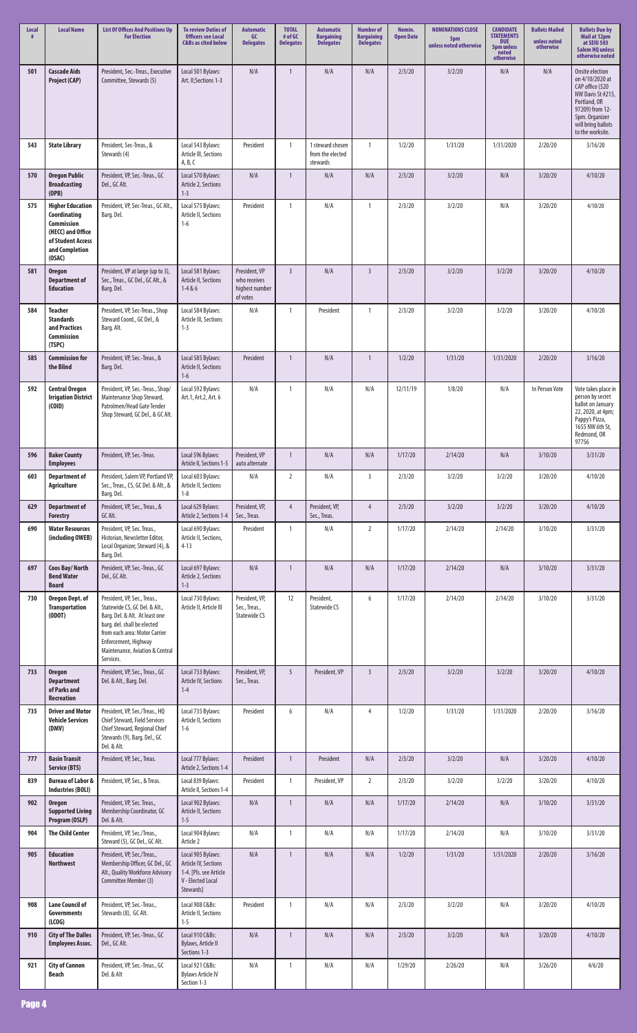| <b>Local</b> | <b>Local Name</b>                                                                                                                  | <b>List Of Offices And Positions Up</b><br><b>For Election</b>                                                                                                                                                                          | <b>To review Duties of</b><br><b>Officers see Local</b><br><b>C&amp;Bs as cited below</b>             | <b>Automatic</b><br>GC<br><b>Delegates</b>                  | <b>TOTAL</b><br># of GC<br><b>Delegates</b> | <b>Automatic</b><br><b>Bargaining</b><br><b>Delegates</b> | <b>Number of</b><br><b>Bargaining</b><br><b>Delegates</b> | Nomin.<br><b>Open Date</b> | <b>NOMINATIONS CLOSE</b><br>5pm<br>unless noted otherwise | <b>CANDIDATE</b><br><b>STATEMENTS</b><br><b>DUE</b><br>5pm unless<br>noted<br>otherwise | <b>Ballots Mailed</b><br>unless noted<br>otherwise | <b>Ballots Due by</b><br>Mail at 12pm<br>at SEIU 503<br><b>Salem HQ unless</b><br>otherwise noted                                                                         |
|--------------|------------------------------------------------------------------------------------------------------------------------------------|-----------------------------------------------------------------------------------------------------------------------------------------------------------------------------------------------------------------------------------------|-------------------------------------------------------------------------------------------------------|-------------------------------------------------------------|---------------------------------------------|-----------------------------------------------------------|-----------------------------------------------------------|----------------------------|-----------------------------------------------------------|-----------------------------------------------------------------------------------------|----------------------------------------------------|---------------------------------------------------------------------------------------------------------------------------------------------------------------------------|
| 501          | <b>Cascade Aids</b><br><b>Project (CAP)</b>                                                                                        | President, Sec.-Treas., Executive<br>Committee, Stewards (5)                                                                                                                                                                            | Local 501 Bylaws:<br>Art. II; Sections 1-3                                                            | N/A                                                         | $\mathbf{1}$                                | N/A                                                       | N/A                                                       | 2/3/20                     | 3/2/20                                                    | N/A                                                                                     | N/A                                                | Onsite election<br>on 4/10/2020 at<br>CAP office (520<br>NW Davis St #215,<br>Portland, OR<br>97209) from 12-<br>5pm. Organizer<br>will bring ballots<br>to the worksite. |
| 543          | <b>State Library</b>                                                                                                               | President, Sec-Treas., &<br>Stewards (4)                                                                                                                                                                                                | Local 543 Bylaws:<br>Article III, Sections<br>A, B, C                                                 | President                                                   | $\mathbf{1}$                                | 1 steward chosen<br>from the elected<br>stewards          | $\mathbf{1}$                                              | 1/2/20                     | 1/31/20                                                   | 1/31/2020                                                                               | 2/20/20                                            | 3/16/20                                                                                                                                                                   |
| 570          | <b>Oregon Public</b><br><b>Broadcasting</b><br>(OPB)                                                                               | President, VP, Sec.-Treas., GC<br>Del., GC Alt.                                                                                                                                                                                         | Local 570 Bylaws:<br>Article 2, Sections<br>$1 - 3$                                                   | N/A                                                         | $\overline{1}$                              | N/A                                                       | N/A                                                       | 2/3/20                     | 3/2/20                                                    | N/A                                                                                     | 3/20/20                                            | 4/10/20                                                                                                                                                                   |
| 575          | <b>Higher Education</b><br>Coordinating<br><b>Commission</b><br>(HECC) and Office<br>of Student Access<br>and Completion<br>(OSAC) | President, VP, Sec-Treas., GC Alt.,<br>Barg. Del.                                                                                                                                                                                       | Local 575 Bylaws:<br>Article II, Sections<br>$1-6$                                                    | President                                                   | $\mathbf{1}$                                | N/A                                                       | 1                                                         | 2/3/20                     | 3/2/20                                                    | N/A                                                                                     | 3/20/20                                            | 4/10/20                                                                                                                                                                   |
| 581          | <b>Oregon</b><br><b>Department of</b><br><b>Education</b>                                                                          | President, VP at large (up to 3),<br>Sec., Treas., GC Del., GC Alt., &<br>Barg. Del.                                                                                                                                                    | Local 581 Bylaws:<br>Article II, Sections<br>$1 - 4 & 6$                                              | President, VP<br>who receives<br>highest number<br>of votes | $\overline{3}$                              | N/A                                                       | $\overline{3}$                                            | 2/3/20                     | 3/2/20                                                    | 3/2/20                                                                                  | 3/20/20                                            | 4/10/20                                                                                                                                                                   |
| 584          | <b>Teacher</b><br><b>Standards</b><br>and Practices<br><b>Commission</b><br>(TSPC)                                                 | President, VP, Sec-Treas., Shop<br>Steward Coord., GC Del., &<br>Barg. Alt.                                                                                                                                                             | Local 584 Bylaws:<br>Article III, Sections<br>$1 - 3$                                                 | N/A                                                         | $\mathbf{1}$                                | President                                                 | $\mathbf{1}$                                              | 2/3/20                     | 3/2/20                                                    | 3/2/20                                                                                  | 3/20/20                                            | 4/10/20                                                                                                                                                                   |
| 585          | <b>Commission for</b><br>the Blind                                                                                                 | President, VP, Sec.-Treas., &<br>Barg. Del.                                                                                                                                                                                             | Local 585 Bylaws:<br>Article II, Sections<br>$1-6$                                                    | President                                                   | $\mathbf{1}$                                | N/A                                                       | 1                                                         | 1/2/20                     | 1/31/20                                                   | 1/31/2020                                                                               | 2/20/20                                            | 3/16/20                                                                                                                                                                   |
| 592          | <b>Central Oregon</b><br><b>Irrigation District</b><br>(COID)                                                                      | President, VP, Sec.-Treas., Shop/<br>Maintenance Shop Steward,<br>Patrolmen/Head Gate Tender<br>Shop Steward, GC Del., & GC Alt.                                                                                                        | Local 592 Bylaws:<br>Art.1, Art.2, Art. 6                                                             | N/A                                                         | $\overline{1}$                              | N/A                                                       | N/A                                                       | 12/11/19                   | 1/8/20                                                    | N/A                                                                                     | In Person Vote                                     | Vote takes place in<br>person by secret<br>ballot on January<br>22, 2020, at 4pm;<br>Pappy's Pizza,<br>1655 NW 6th St,<br>Redmond, OR<br>97756                            |
| 596          | <b>Baker County</b><br><b>Employees</b>                                                                                            | President, VP, Sec.-Treas.                                                                                                                                                                                                              | Local 596 Bylaws:<br>Article II, Sections 1-5                                                         | President, VP<br>auto alternate                             | $\overline{1}$                              | N/A                                                       | N/A                                                       | 1/17/20                    | 2/14/20                                                   | N/A                                                                                     | 3/10/20                                            | 3/31/20                                                                                                                                                                   |
| 603          | <b>Department of</b><br><b>Agriculture</b>                                                                                         | President, Salem VP, Portland VP,<br>Sec., Treas., CS, GC Del. & Alt., &<br>Barg. Del.                                                                                                                                                  | Local 603 Bylaws:<br>Article II, Sections<br>$1 - 8$                                                  | N/A                                                         | $\overline{2}$                              | N/A                                                       | $\overline{3}$                                            | 2/3/20                     | 3/2/20                                                    | 3/2/20                                                                                  | 3/20/20                                            | 4/10/20                                                                                                                                                                   |
| 629          | <b>Department of</b><br>Forestry                                                                                                   | President, VP, Sec., Treas., &<br>GC Alt.                                                                                                                                                                                               | Local 629 Bylaws:<br>Article 2, Sections 1-4                                                          | President, VP,<br>Sec., Treas.                              | $\overline{4}$                              | President, VP,<br>Sec., Treas.                            | $\overline{4}$                                            | 2/3/20                     | 3/2/20                                                    | 3/2/20                                                                                  | 3/20/20                                            | 4/10/20                                                                                                                                                                   |
| 690          | <b>Water Resources</b><br>(including OWEB)                                                                                         | President, VP, Sec. Treas.,<br>Historian, Newsletter Editor,<br>Local Organizer, Steward (4), &<br>Barg. Del.                                                                                                                           | Local 690 Bylaws:<br>Article II, Sections,<br>$4 - 13$                                                | President                                                   | $\mathbf{1}$                                | N/A                                                       | $\overline{2}$                                            | 1/17/20                    | 2/14/20                                                   | 2/14/20                                                                                 | 3/10/20                                            | 3/31/20                                                                                                                                                                   |
| 697          | Coos Bay/North<br><b>Bend Water</b><br><b>Board</b>                                                                                | President, VP, Sec.-Treas., GC<br>Del., GC Alt.                                                                                                                                                                                         | Local 697 Bylaws:<br>Article 2, Sections<br>$1 - 3$                                                   | N/A                                                         | $\overline{1}$                              | N/A                                                       | N/A                                                       | 1/17/20                    | 2/14/20                                                   | N/A                                                                                     | 3/10/20                                            | 3/31/20                                                                                                                                                                   |
| 730          | Oregon Dept. of<br><b>Transportation</b><br>(ODOT)                                                                                 | President, VP, Sec., Treas.,<br>Statewide CS, GC Del. & Alt.,<br>Barg. Del. & Alt. At least one<br>barg. del. shall be elected<br>from each area: Motor Carrier<br>Enforcement, Highway<br>Maintenance, Aviation & Central<br>Services. | Local 730 Bylaws:<br>Article II, Article III                                                          | President, VP,<br>Sec., Treas.,<br>Statewide CS             | 12                                          | President,<br><b>Statewide CS</b>                         | 6                                                         | 1/17/20                    | 2/14/20                                                   | 2/14/20                                                                                 | 3/10/20                                            | 3/31/20                                                                                                                                                                   |
| 733          | <b>Oregon</b><br><b>Department</b><br>of Parks and<br><b>Recreation</b>                                                            | President, VP, Sec., Treas., GC<br>Del. & Alt., Barg. Del.                                                                                                                                                                              | Local 733 Bylaws:<br>Article IV, Sections<br>$1 - 4$                                                  | President, VP,<br>Sec., Treas.                              | 5                                           | President, VP                                             | $\overline{3}$                                            | 2/3/20                     | 3/2/20                                                    | 3/2/20                                                                                  | 3/20/20                                            | 4/10/20                                                                                                                                                                   |
| 735          | <b>Driver and Motor</b><br><b>Vehicle Services</b><br>(DMV)                                                                        | President, VP, Sec./Treas., HQ<br>Chief Steward, Field Services<br>Chief Steward, Regional Chief<br>Stewards (9), Barg. Del., GC<br>Del. & Alt.                                                                                         | Local 735 Bylaws:<br>Article II, Sections<br>$1-6$                                                    | President                                                   | 6                                           | N/A                                                       | $\overline{4}$                                            | 1/2/20                     | 1/31/20                                                   | 1/31/2020                                                                               | 2/20/20                                            | 3/16/20                                                                                                                                                                   |
| 777          | <b>Basin Transit</b><br><b>Service (BTS)</b>                                                                                       | President, VP, Sec., Treas.                                                                                                                                                                                                             | Local 777 Bylaws:<br>Article 2, Sections 1-4                                                          | President                                                   | $\overline{1}$                              | President                                                 | N/A                                                       | 2/3/20                     | 3/2/20                                                    | N/A                                                                                     | 3/20/20                                            | 4/10/20                                                                                                                                                                   |
| 839          | <b>Bureau of Labor &amp;</b><br><b>Industries (BOLI)</b>                                                                           | President, VP, Sec., & Treas.                                                                                                                                                                                                           | Local 839 Bylaws:<br>Article II, Sections 1-4                                                         | President                                                   | $\mathbf{1}$                                | President, VP                                             | $\overline{2}$                                            | 2/3/20                     | 3/2/20                                                    | 3/2/20                                                                                  | 3/20/20                                            | 4/10/20                                                                                                                                                                   |
| 902          | <b>Oregon</b><br><b>Supported Living</b><br>Program (OSLP)                                                                         | President, VP, Sec. Treas.,<br>Membership Coordinator, GC<br>Del. & Alt.                                                                                                                                                                | Local 902 Bylaws:<br>Article II, Sections<br>$1 - 5$                                                  | N/A                                                         | $\mathbf{1}$                                | N/A                                                       | N/A                                                       | 1/17/20                    | 2/14/20                                                   | N/A                                                                                     | 3/10/20                                            | 3/31/20                                                                                                                                                                   |
| 904          | <b>The Child Center</b>                                                                                                            | President, VP, Sec./Treas.,<br>Steward (5), GC Del., GC Alt.                                                                                                                                                                            | Local 904 Bylaws:<br>Article 2                                                                        | N/A                                                         | $\mathbf{1}$                                | N/A                                                       | N/A                                                       | 1/17/20                    | 2/14/20                                                   | N/A                                                                                     | 3/10/20                                            | 3/31/20                                                                                                                                                                   |
| 905          | <b>Education</b><br><b>Northwest</b>                                                                                               | President, VP, Sec./Treas.,<br>Membership Officer, GC Del., GC<br>Alt., Quality Workforce Advisory<br>Committee Member (3)                                                                                                              | Local 905 Bylaws:<br>Article IV, Sections<br>1-4. [Pls. see Article<br>V - Elected Local<br>Stewards] | N/A                                                         | $\mathbf{1}$                                | N/A                                                       | N/A                                                       | 1/2/20                     | 1/31/20                                                   | 1/31/2020                                                                               | 2/20/20                                            | 3/16/20                                                                                                                                                                   |
| 908          | <b>Lane Council of</b><br>Governments<br>(LCOG)                                                                                    | President, VP, Sec.-Treas.,<br>Stewards (8), GC Alt.                                                                                                                                                                                    | Local 908 C&Bs:<br>Article II, Sections<br>$1-5$                                                      | President                                                   | $\overline{1}$                              | N/A                                                       | N/A                                                       | 2/3/20                     | 3/2/20                                                    | N/A                                                                                     | 3/20/20                                            | 4/10/20                                                                                                                                                                   |
| 910          | <b>City of The Dalles</b><br><b>Employees Assoc.</b>                                                                               | President, VP, Sec.-Treas., GC<br>Del., GC Alt.                                                                                                                                                                                         | Local 910 C&Bs:<br>Bylaws, Article II<br>Sections 1-3                                                 | N/A                                                         | $\mathbf{1}$                                | N/A                                                       | N/A                                                       | 2/3/20                     | 3/2/20                                                    | N/A                                                                                     | 3/20/20                                            | 4/10/20                                                                                                                                                                   |
| 921          | <b>City of Cannon</b><br><b>Beach</b>                                                                                              | President, VP, Sec.-Treas., GC<br>Del. & Alt                                                                                                                                                                                            | Local 921 C&Bs:<br><b>Bylaws Article IV</b><br>Section 1-3                                            | N/A                                                         | $\overline{1}$                              | N/A                                                       | N/A                                                       | 1/29/20                    | 2/26/20                                                   | N/A                                                                                     | 3/26/20                                            | 4/6/20                                                                                                                                                                    |